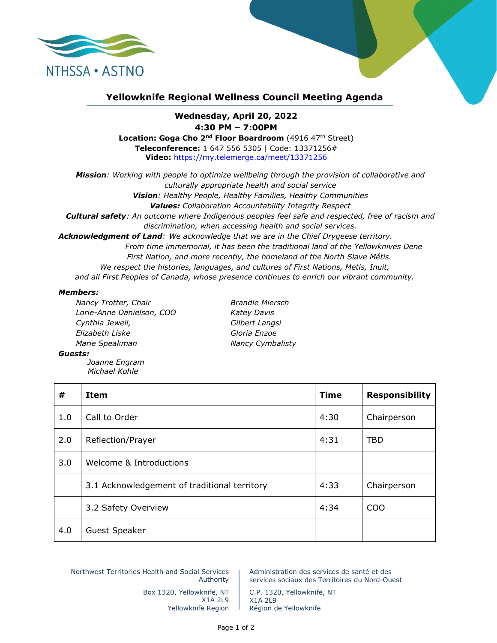

## **Yellowknife Regional Wellness Council Meeting Agenda**

## **Wednesday, April 20, 2022 4:30 PM – 7:00PM**

Location: Goga Cho 2<sup>nd</sup> Floor Boardroom (4916 47<sup>th</sup> Street) **Teleconference:** 1 647 556 5305 | Code: 13371256# **Video:** <https://my.telemerge.ca/meet/13371256>

*Mission: Working with people to optimize wellbeing through the provision of collaborative and culturally appropriate health and social service Vision: Healthy People, Healthy Families, Healthy Communities Values: Collaboration Accountability Integrity Respect Cultural safety: An outcome where Indigenous peoples feel safe and respected, free of racism and discrimination, when accessing health and social services. Acknowledgment of Land*: *We acknowledge that we are in the Chief Drygeese territory. From time immemorial, it has been the traditional land of the Yellowknives Dene First Nation, and more recently, the homeland of the North Slave Métis. We respect the histories, languages, and cultures of First Nations, Metis, Inuit,*

*and all First Peoples of Canada, whose presence continues to enrich our vibrant community.*

## *Members:*

*Nancy Trotter, Chair Brandie Miersch Lorie-Anne Danielson, COO Katey Davis Cynthia Jewell, Gilbert Langsi Elizabeth Liske Gloria Enzoe Marie Speakman Nancy Cymbalisty*

## *Guests:*

*Joanne Engram Michael Kohle*

| #   | Item                                         | <b>Time</b> | <b>Responsibility</b> |
|-----|----------------------------------------------|-------------|-----------------------|
| 1.0 | Call to Order                                | 4:30        | Chairperson           |
| 2.0 | Reflection/Prayer                            | 4:31        | <b>TBD</b>            |
| 3.0 | Welcome & Introductions                      |             |                       |
|     | 3.1 Acknowledgement of traditional territory | 4:33        | Chairperson           |
|     | 3.2 Safety Overview                          | 4:34        | <b>COO</b>            |
| 4.0 | <b>Guest Speaker</b>                         |             |                       |

Northwest Territories Health and Social Services Authority

Administration des services de santé et des services sociaux des Territoires du Nord-Ouest

Box 1320, Yellowknife, NT X1A 2L9 Yellowknife Region

C.P. 1320, Yellowknife, NT X1A 2L9 Région de Yellowknife